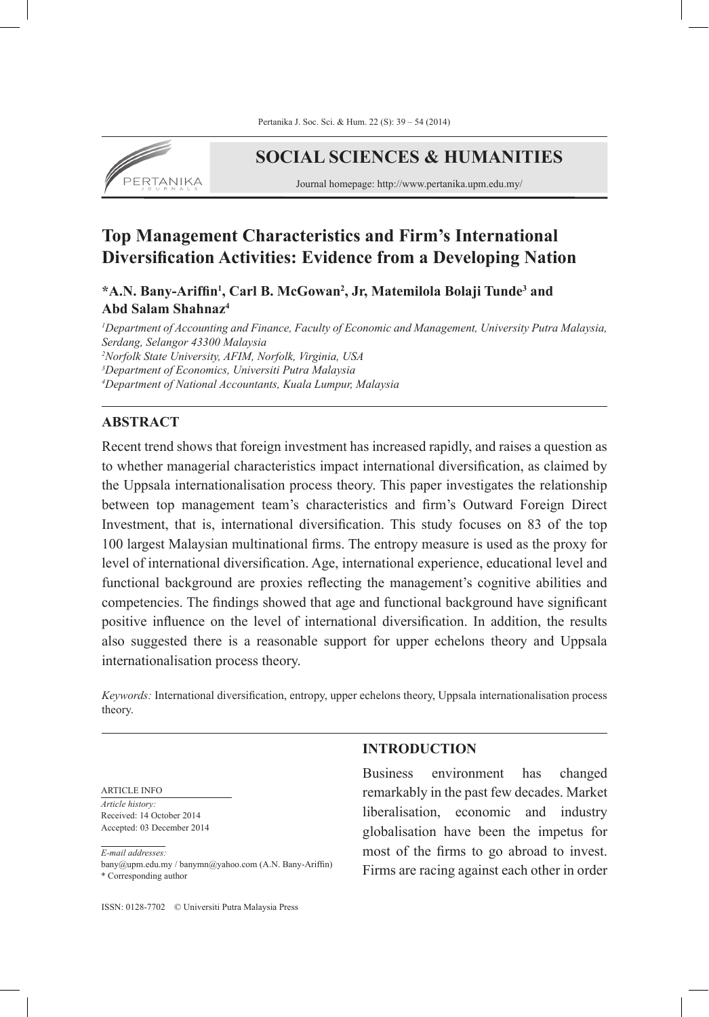

# **SOCIAL SCIENCES & HUMANITIES**

Journal homepage: http://www.pertanika.upm.edu.my/

# **Top Management Characteristics and Firm's International Diversification Activities: Evidence from a Developing Nation**

# **\*A.N. Bany-Ariffin<sup>1</sup> , Carl B. McGowan<sup>2</sup> , Jr, Matemilola Bolaji Tunde<sup>3</sup> and Abd Salam Shahnaz<sup>4</sup>**

 *Department of Accounting and Finance, Faculty of Economic and Management, University Putra Malaysia, Serdang, Selangor 43300 Malaysia Norfolk State University, AFIM, Norfolk, Virginia, USA Department of Economics, Universiti Putra Malaysia Department of National Accountants, Kuala Lumpur, Malaysia*

# **ABSTRACT**

Recent trend shows that foreign investment has increased rapidly, and raises a question as to whether managerial characteristics impact international diversification, as claimed by the Uppsala internationalisation process theory. This paper investigates the relationship between top management team's characteristics and firm's Outward Foreign Direct Investment, that is, international diversification. This study focuses on 83 of the top 100 largest Malaysian multinational firms. The entropy measure is used as the proxy for level of international diversification. Age, international experience, educational level and functional background are proxies reflecting the management's cognitive abilities and competencies. The findings showed that age and functional background have significant positive influence on the level of international diversification. In addition, the results also suggested there is a reasonable support for upper echelons theory and Uppsala internationalisation process theory.

*Keywords:* International diversification, entropy, upper echelons theory, Uppsala internationalisation process theory.

#### ARTICLE INFO

*Article history:* Received: 14 October 2014 Accepted: 03 December 2014

*E-mail addresses:* bany@upm.edu.my / banymn@yahoo.com (A.N. Bany-Ariffin) \* Corresponding author

# **INTRODUCTION**

Business environment has changed remarkably in the past few decades. Market liberalisation, economic and industry globalisation have been the impetus for most of the firms to go abroad to invest. Firms are racing against each other in order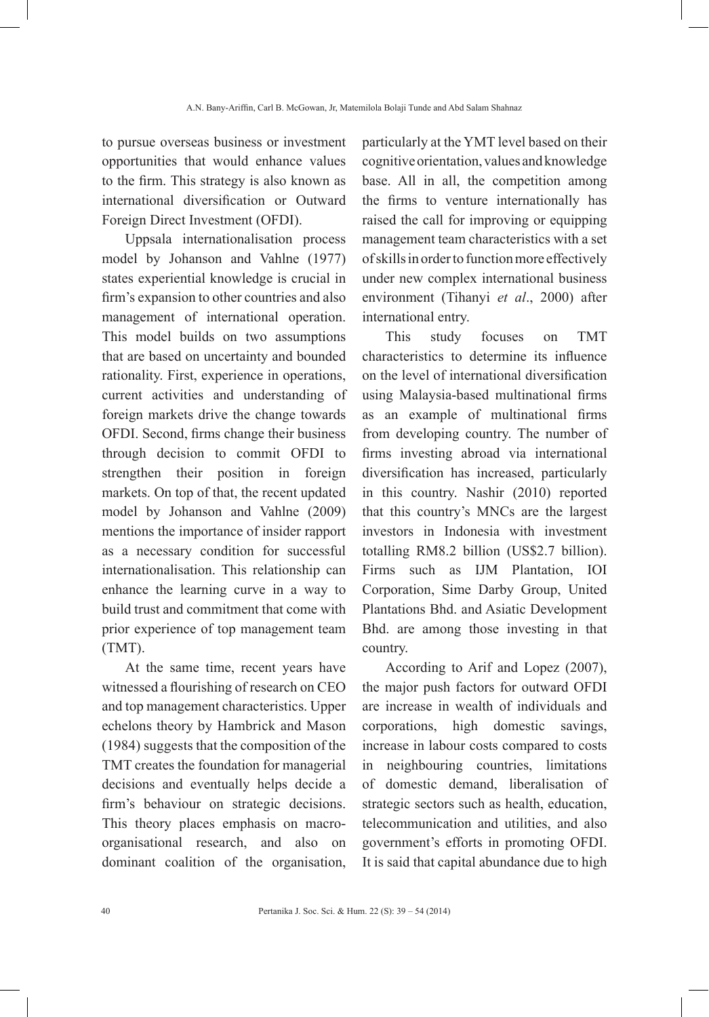to pursue overseas business or investment opportunities that would enhance values to the firm. This strategy is also known as international diversification or Outward Foreign Direct Investment (OFDI).

Uppsala internationalisation process model by Johanson and Vahlne (1977) states experiential knowledge is crucial in firm's expansion to other countries and also management of international operation. This model builds on two assumptions that are based on uncertainty and bounded rationality. First, experience in operations, current activities and understanding of foreign markets drive the change towards OFDI. Second, firms change their business through decision to commit OFDI to strengthen their position in foreign markets. On top of that, the recent updated model by Johanson and Vahlne (2009) mentions the importance of insider rapport as a necessary condition for successful internationalisation. This relationship can enhance the learning curve in a way to build trust and commitment that come with prior experience of top management team (TMT).

At the same time, recent years have witnessed a flourishing of research on CEO and top management characteristics. Upper echelons theory by Hambrick and Mason (1984) suggests that the composition of the TMT creates the foundation for managerial decisions and eventually helps decide a firm's behaviour on strategic decisions. This theory places emphasis on macroorganisational research, and also on dominant coalition of the organisation,

particularly at the YMT level based on their cognitive orientation, values and knowledge base. All in all, the competition among the firms to venture internationally has raised the call for improving or equipping management team characteristics with a set of skills in order to function more effectively under new complex international business environment (Tihanyi *et al*., 2000) after international entry.

This study focuses on TMT characteristics to determine its influence on the level of international diversification using Malaysia-based multinational firms as an example of multinational firms from developing country. The number of firms investing abroad via international diversification has increased, particularly in this country. Nashir (2010) reported that this country's MNCs are the largest investors in Indonesia with investment totalling RM8.2 billion (US\$2.7 billion). Firms such as IJM Plantation, IOI Corporation, Sime Darby Group, United Plantations Bhd. and Asiatic Development Bhd. are among those investing in that country.

According to Arif and Lopez (2007), the major push factors for outward OFDI are increase in wealth of individuals and corporations, high domestic savings, increase in labour costs compared to costs in neighbouring countries, limitations of domestic demand, liberalisation of strategic sectors such as health, education, telecommunication and utilities, and also government's efforts in promoting OFDI. It is said that capital abundance due to high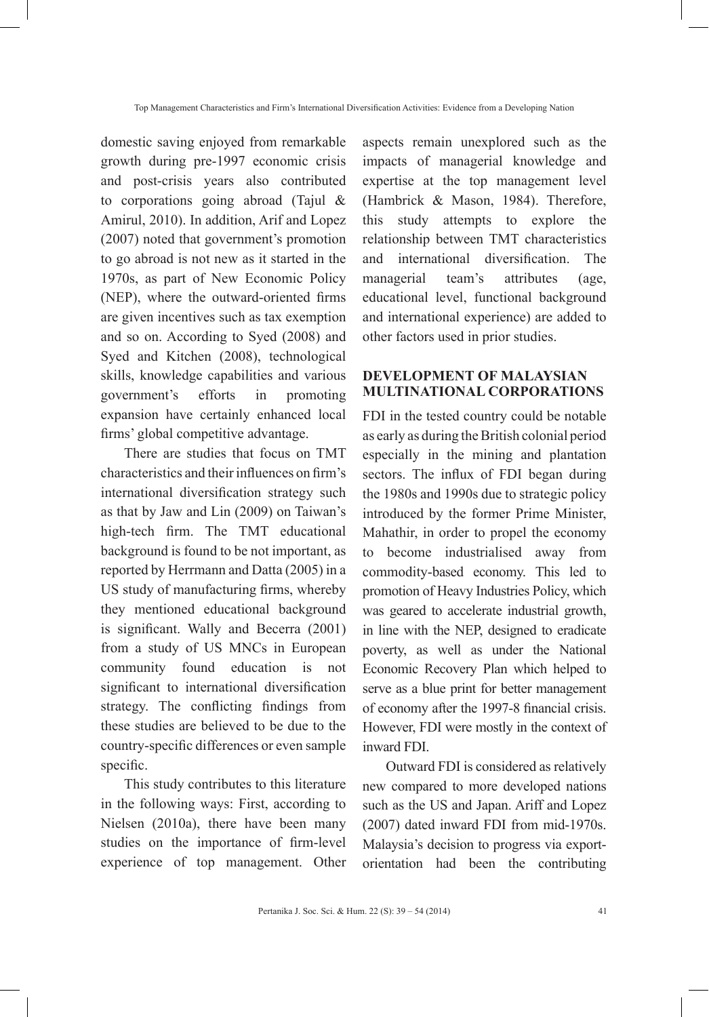domestic saving enjoyed from remarkable growth during pre-1997 economic crisis and post-crisis years also contributed to corporations going abroad (Tajul & Amirul, 2010). In addition, Arif and Lopez (2007) noted that government's promotion to go abroad is not new as it started in the 1970s, as part of New Economic Policy (NEP), where the outward-oriented firms are given incentives such as tax exemption and so on. According to Syed (2008) and Syed and Kitchen (2008), technological skills, knowledge capabilities and various government's efforts in promoting expansion have certainly enhanced local firms' global competitive advantage.

There are studies that focus on TMT characteristics and their influences on firm's international diversification strategy such as that by Jaw and Lin (2009) on Taiwan's high-tech firm. The TMT educational background is found to be not important, as reported by Herrmann and Datta (2005) in a US study of manufacturing firms, whereby they mentioned educational background is significant. Wally and Becerra (2001) from a study of US MNCs in European community found education is not significant to international diversification strategy. The conflicting findings from these studies are believed to be due to the country-specific differences or even sample specific.

This study contributes to this literature in the following ways: First, according to Nielsen (2010a), there have been many studies on the importance of firm-level experience of top management. Other aspects remain unexplored such as the impacts of managerial knowledge and expertise at the top management level (Hambrick & Mason, 1984). Therefore, this study attempts to explore the relationship between TMT characteristics and international diversification. The managerial team's attributes (age, educational level, functional background and international experience) are added to other factors used in prior studies.

# **DEVELOPMENT OF MALAYSIAN MULTINATIONAL CORPORATIONS**

FDI in the tested country could be notable as early as during the British colonial period especially in the mining and plantation sectors. The influx of FDI began during the 1980s and 1990s due to strategic policy introduced by the former Prime Minister, Mahathir, in order to propel the economy to become industrialised away from commodity-based economy. This led to promotion of Heavy Industries Policy, which was geared to accelerate industrial growth, in line with the NEP, designed to eradicate poverty, as well as under the National Economic Recovery Plan which helped to serve as a blue print for better management of economy after the 1997-8 financial crisis. However, FDI were mostly in the context of inward FDI.

Outward FDI is considered as relatively new compared to more developed nations such as the US and Japan. Ariff and Lopez (2007) dated inward FDI from mid-1970s. Malaysia's decision to progress via exportorientation had been the contributing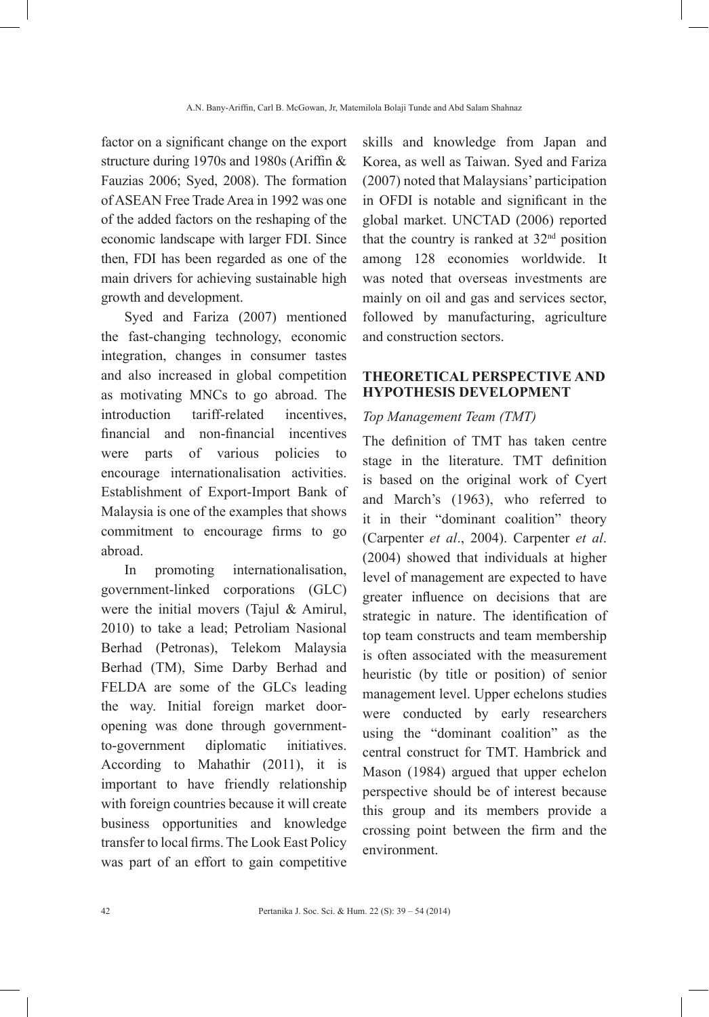factor on a significant change on the export structure during 1970s and 1980s (Ariffin & Fauzias 2006; Syed, 2008). The formation of ASEAN Free Trade Area in 1992 was one of the added factors on the reshaping of the economic landscape with larger FDI. Since then, FDI has been regarded as one of the main drivers for achieving sustainable high growth and development.

Syed and Fariza (2007) mentioned the fast-changing technology, economic integration, changes in consumer tastes and also increased in global competition as motivating MNCs to go abroad. The introduction tariff-related incentives, financial and non-financial incentives were parts of various policies to encourage internationalisation activities. Establishment of Export-Import Bank of Malaysia is one of the examples that shows commitment to encourage firms to go abroad.

In promoting internationalisation, government-linked corporations (GLC) were the initial movers (Tajul & Amirul, 2010) to take a lead; Petroliam Nasional Berhad (Petronas), Telekom Malaysia Berhad (TM), Sime Darby Berhad and FELDA are some of the GLCs leading the way. Initial foreign market dooropening was done through governmentto-government diplomatic initiatives. According to Mahathir (2011), it is important to have friendly relationship with foreign countries because it will create business opportunities and knowledge transfer to local firms. The Look East Policy was part of an effort to gain competitive

skills and knowledge from Japan and Korea, as well as Taiwan. Syed and Fariza (2007) noted that Malaysians' participation in OFDI is notable and significant in the global market. UNCTAD (2006) reported that the country is ranked at  $32<sup>nd</sup>$  position among 128 economies worldwide. It was noted that overseas investments are mainly on oil and gas and services sector, followed by manufacturing, agriculture and construction sectors.

# **THEORETICAL PERSPECTIVE AND HYPOTHESIS DEVELOPMENT**

#### *Top Management Team (TMT)*

The definition of TMT has taken centre stage in the literature. TMT definition is based on the original work of Cyert and March's (1963), who referred to it in their "dominant coalition" theory (Carpenter *et al*., 2004). Carpenter *et al*. (2004) showed that individuals at higher level of management are expected to have greater influence on decisions that are strategic in nature. The identification of top team constructs and team membership is often associated with the measurement heuristic (by title or position) of senior management level. Upper echelons studies were conducted by early researchers using the "dominant coalition" as the central construct for TMT. Hambrick and Mason (1984) argued that upper echelon perspective should be of interest because this group and its members provide a crossing point between the firm and the environment.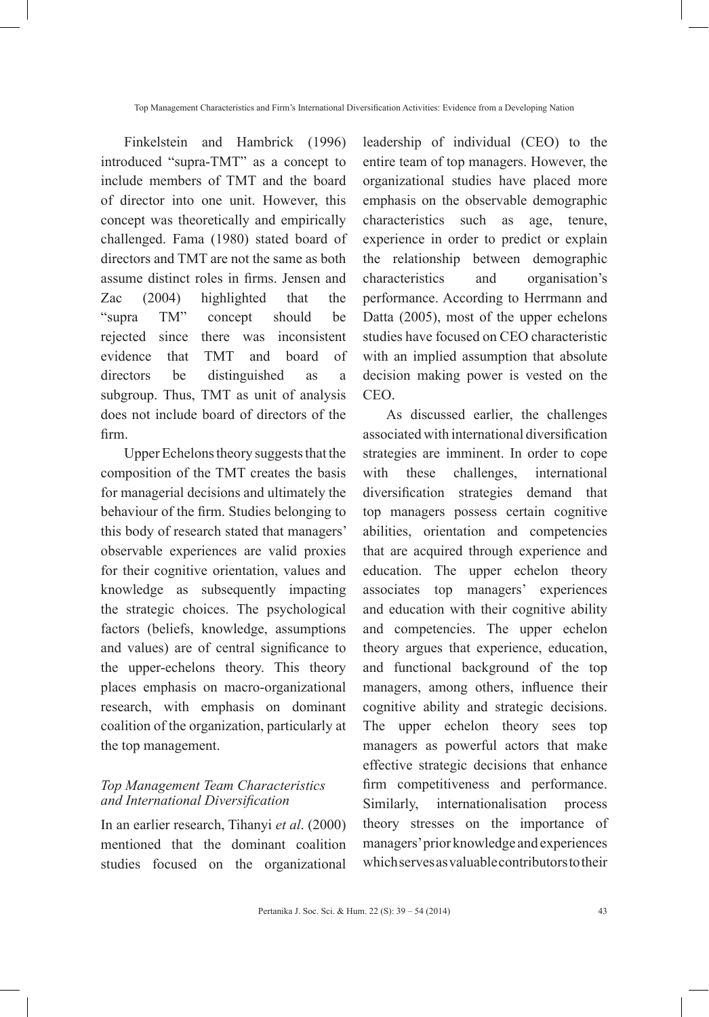Finkelstein and Hambrick (1996) introduced "supra-TMT" as a concept to include members of TMT and the board of director into one unit. However, this concept was theoretically and empirically challenged. Fama (1980) stated board of directors and TMT are not the same as both assume distinct roles in firms. Jensen and Zac (2004) highlighted that the "supra TM" concept should be rejected since there was inconsistent evidence that TMT and board of directors be distinguished as a subgroup. Thus, TMT as unit of analysis does not include board of directors of the firm.

Upper Echelons theory suggests that the composition of the TMT creates the basis for managerial decisions and ultimately the behaviour of the firm. Studies belonging to this body of research stated that managers' observable experiences are valid proxies for their cognitive orientation, values and knowledge as subsequently impacting the strategic choices. The psychological factors (beliefs, knowledge, assumptions and values) are of central significance to the upper-echelons theory. This theory places emphasis on macro-organizational research, with emphasis on dominant coalition of the organization, particularly at the top management.

# *Top Management Team Characteristics and International Diversification*

In an earlier research, Tihanyi *et al*. (2000) mentioned that the dominant coalition studies focused on the organizational

leadership of individual (CEO) to the entire team of top managers. However, the organizational studies have placed more emphasis on the observable demographic characteristics such as age, tenure, experience in order to predict or explain the relationship between demographic characteristics and organisation's performance. According to Herrmann and Datta (2005), most of the upper echelons studies have focused on CEO characteristic with an implied assumption that absolute decision making power is vested on the CEO.

As discussed earlier, the challenges associated with international diversification strategies are imminent. In order to cope with these challenges, international diversification strategies demand that top managers possess certain cognitive abilities, orientation and competencies that are acquired through experience and education. The upper echelon theory associates top managers' experiences and education with their cognitive ability and competencies. The upper echelon theory argues that experience, education, and functional background of the top managers, among others, influence their cognitive ability and strategic decisions. The upper echelon theory sees top managers as powerful actors that make effective strategic decisions that enhance firm competitiveness and performance. Similarly, internationalisation process theory stresses on the importance of managers' prior knowledge and experiences which serves as valuable contributors to their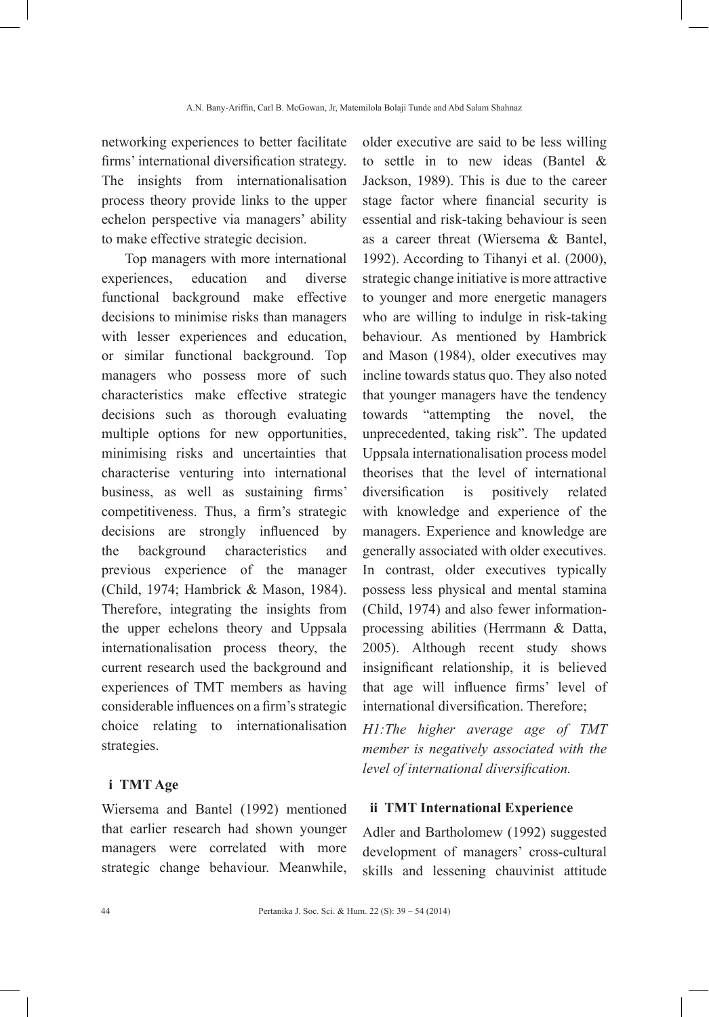networking experiences to better facilitate firms' international diversification strategy. The insights from internationalisation process theory provide links to the upper echelon perspective via managers' ability to make effective strategic decision.

Top managers with more international experiences, education and diverse functional background make effective decisions to minimise risks than managers with lesser experiences and education, or similar functional background. Top managers who possess more of such characteristics make effective strategic decisions such as thorough evaluating multiple options for new opportunities, minimising risks and uncertainties that characterise venturing into international business, as well as sustaining firms' competitiveness. Thus, a firm's strategic decisions are strongly influenced by the background characteristics and previous experience of the manager (Child, 1974; Hambrick & Mason, 1984). Therefore, integrating the insights from the upper echelons theory and Uppsala internationalisation process theory, the current research used the background and experiences of TMT members as having considerable influences on a firm's strategic choice relating to internationalisation strategies.

#### **i TMT Age**

Wiersema and Bantel (1992) mentioned that earlier research had shown younger managers were correlated with more strategic change behaviour. Meanwhile,

older executive are said to be less willing to settle in to new ideas (Bantel & Jackson, 1989). This is due to the career stage factor where financial security is essential and risk-taking behaviour is seen as a career threat (Wiersema & Bantel, 1992). According to Tihanyi et al. (2000), strategic change initiative is more attractive to younger and more energetic managers who are willing to indulge in risk-taking behaviour. As mentioned by Hambrick and Mason (1984), older executives may incline towards status quo. They also noted that younger managers have the tendency towards "attempting the novel, the unprecedented, taking risk". The updated Uppsala internationalisation process model theorises that the level of international diversification is positively related with knowledge and experience of the managers. Experience and knowledge are generally associated with older executives. In contrast, older executives typically possess less physical and mental stamina (Child, 1974) and also fewer informationprocessing abilities (Herrmann & Datta, 2005). Although recent study shows insignificant relationship, it is believed that age will influence firms' level of international diversification. Therefore;

*H1:The higher average age of TMT member is negatively associated with the level of international diversification.*

#### **ii TMT International Experience**

Adler and Bartholomew (1992) suggested development of managers' cross-cultural skills and lessening chauvinist attitude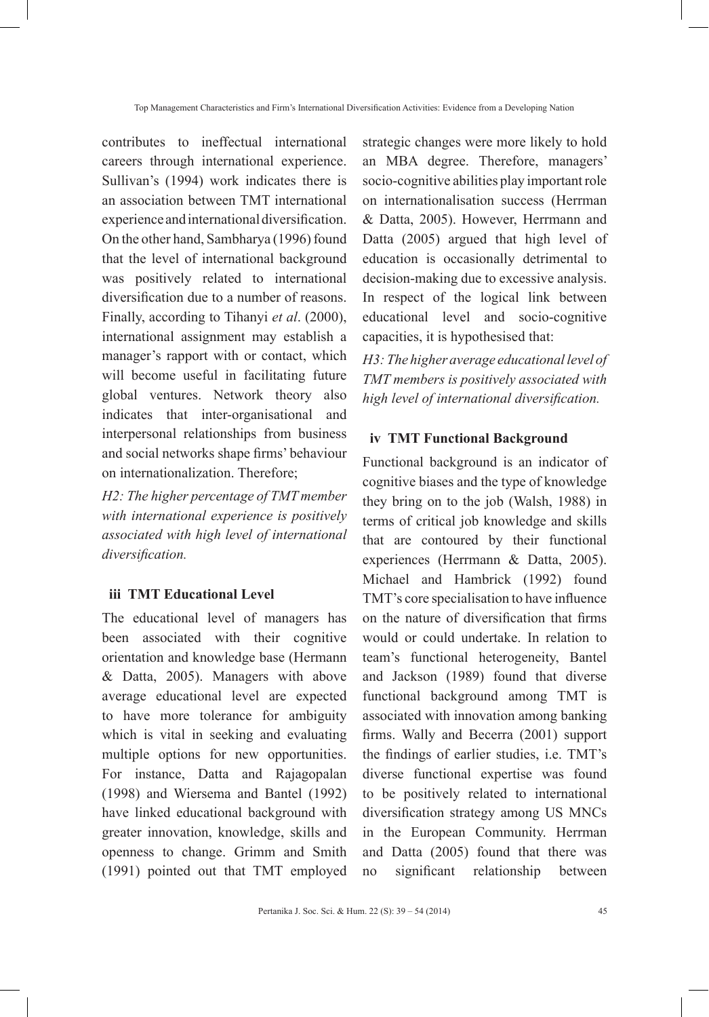contributes to ineffectual international careers through international experience. Sullivan's (1994) work indicates there is an association between TMT international experience and international diversification. On the other hand, Sambharya (1996) found that the level of international background was positively related to international diversification due to a number of reasons. Finally, according to Tihanyi *et al*. (2000), international assignment may establish a manager's rapport with or contact, which will become useful in facilitating future global ventures. Network theory also indicates that inter-organisational and interpersonal relationships from business and social networks shape firms' behaviour on internationalization. Therefore;

*H2: The higher percentage of TMT member with international experience is positively associated with high level of international diversification.*

#### **iii TMT Educational Level**

The educational level of managers has been associated with their cognitive orientation and knowledge base (Hermann & Datta, 2005). Managers with above average educational level are expected to have more tolerance for ambiguity which is vital in seeking and evaluating multiple options for new opportunities. For instance, Datta and Rajagopalan (1998) and Wiersema and Bantel (1992) have linked educational background with greater innovation, knowledge, skills and openness to change. Grimm and Smith (1991) pointed out that TMT employed

strategic changes were more likely to hold an MBA degree. Therefore, managers' socio-cognitive abilities play important role on internationalisation success (Herrman & Datta, 2005). However, Herrmann and Datta (2005) argued that high level of education is occasionally detrimental to decision-making due to excessive analysis. In respect of the logical link between educational level and socio-cognitive capacities, it is hypothesised that:

*H3: The higher average educational level of TMT members is positively associated with high level of international diversification.*

### **iv TMT Functional Background**

Functional background is an indicator of cognitive biases and the type of knowledge they bring on to the job (Walsh, 1988) in terms of critical job knowledge and skills that are contoured by their functional experiences (Herrmann & Datta, 2005). Michael and Hambrick (1992) found TMT's core specialisation to have influence on the nature of diversification that firms would or could undertake. In relation to team's functional heterogeneity, Bantel and Jackson (1989) found that diverse functional background among TMT is associated with innovation among banking firms. Wally and Becerra (2001) support the findings of earlier studies, i.e. TMT's diverse functional expertise was found to be positively related to international diversification strategy among US MNCs in the European Community. Herrman and Datta (2005) found that there was no significant relationship between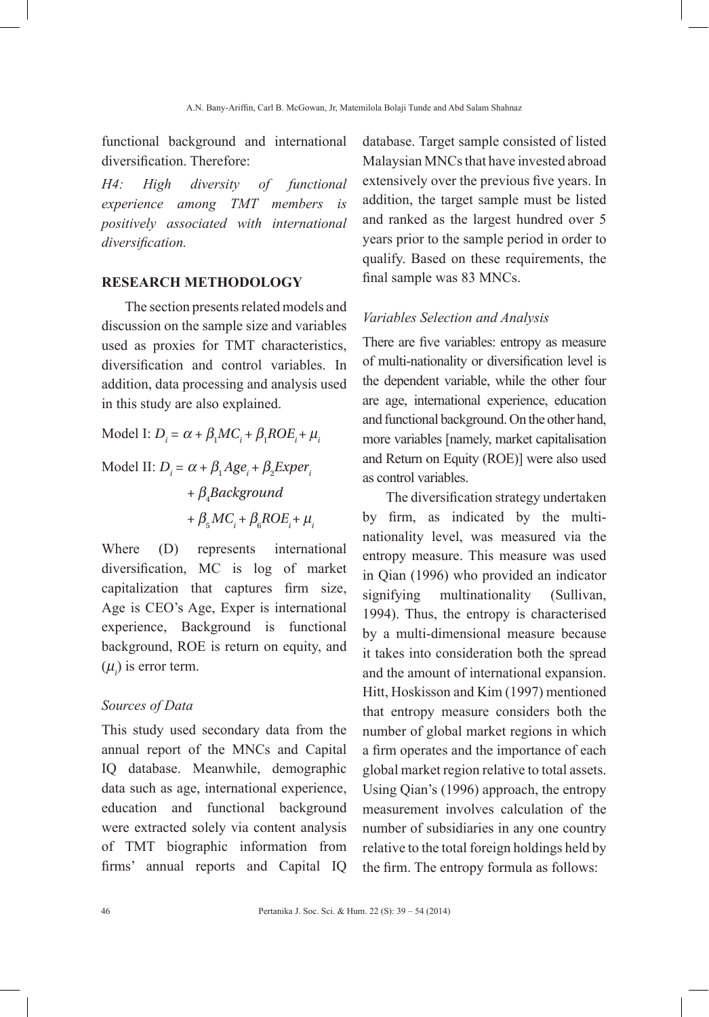functional background and international diversification. Therefore:

*H4: High diversity of functional experience among TMT members is positively associated with international diversification.*

# **RESEARCH METHODOLOGY**

The section presents related models and discussion on the sample size and variables used as proxies for TMT characteristics, diversification and control variables. In addition, data processing and analysis used in this study are also explained.

Model I:  $D_i = \alpha + \beta_1 MC_i + \beta_1 ROE_i + \mu_i$ Model II:  $D_i = \alpha + \beta_1 Age_i + \beta_2 Expert_i$ + β<sup>4</sup> *Background*   $+ \beta_5 MC_i + \beta_6 ROE_i + \mu_i$ 

Where (D) represents international diversification, MC is log of market capitalization that captures firm size, Age is CEO's Age, Exper is international experience, Background is functional background, ROE is return on equity, and  $(\mu_i)$  is error term.

#### *Sources of Data*

This study used secondary data from the annual report of the MNCs and Capital IQ database. Meanwhile, demographic data such as age, international experience, education and functional background were extracted solely via content analysis of TMT biographic information from firms' annual reports and Capital IQ

database. Target sample consisted of listed Malaysian MNCs that have invested abroad extensively over the previous five years. In addition, the target sample must be listed and ranked as the largest hundred over 5 years prior to the sample period in order to qualify. Based on these requirements, the final sample was 83 MNCs.

#### *Variables Selection and Analysis*

There are five variables: entropy as measure of multi-nationality or diversification level is the dependent variable, while the other four are age, international experience, education and functional background. On the other hand, more variables [namely, market capitalisation and Return on Equity (ROE)] were also used as control variables.

The diversification strategy undertaken by firm, as indicated by the multinationality level, was measured via the entropy measure. This measure was used in Qian (1996) who provided an indicator signifying multinationality (Sullivan, 1994). Thus, the entropy is characterised by a multi-dimensional measure because it takes into consideration both the spread and the amount of international expansion. Hitt, Hoskisson and Kim (1997) mentioned that entropy measure considers both the number of global market regions in which a firm operates and the importance of each global market region relative to total assets. Using Qian's (1996) approach, the entropy measurement involves calculation of the number of subsidiaries in any one country relative to the total foreign holdings held by the firm. The entropy formula as follows: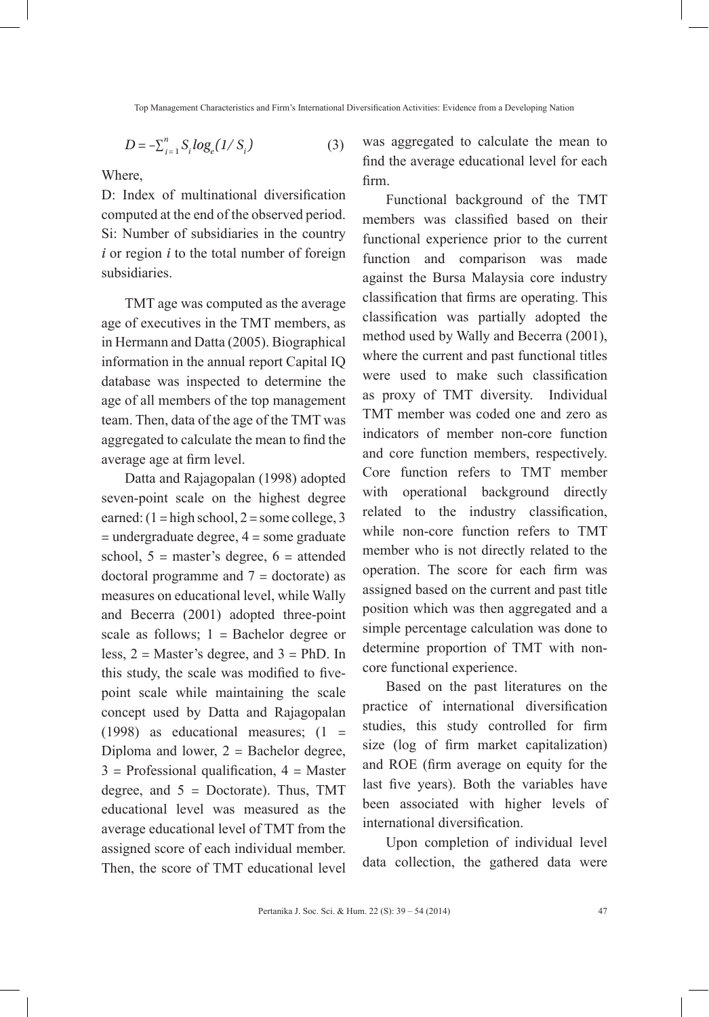$$
D = -\sum_{i=1}^{n} S_i \log_e(1/S_i)
$$
 (3)

Where,

D: Index of multinational diversification computed at the end of the observed period. Si: Number of subsidiaries in the country *i* or region *i* to the total number of foreign subsidiaries.

TMT age was computed as the average age of executives in the TMT members, as in Hermann and Datta (2005). Biographical information in the annual report Capital IQ database was inspected to determine the age of all members of the top management team. Then, data of the age of the TMT was aggregated to calculate the mean to find the average age at firm level.

Datta and Rajagopalan (1998) adopted seven-point scale on the highest degree earned:  $(1 = high school, 2 = some college, 3)$ = undergraduate degree, 4 = some graduate school,  $5 =$  master's degree,  $6 =$  attended doctoral programme and  $7 =$  doctorate) as measures on educational level, while Wally and Becerra (2001) adopted three-point scale as follows;  $1 =$  Bachelor degree or less,  $2 =$  Master's degree, and  $3 =$  PhD. In this study, the scale was modified to fivepoint scale while maintaining the scale concept used by Datta and Rajagopalan (1998) as educational measures;  $(1 =$ Diploma and lower,  $2 =$  Bachelor degree,  $3$  = Professional qualification,  $4$  = Master degree, and  $5 =$  Doctorate). Thus, TMT educational level was measured as the average educational level of TMT from the assigned score of each individual member. Then, the score of TMT educational level was aggregated to calculate the mean to find the average educational level for each firm.

Functional background of the TMT members was classified based on their functional experience prior to the current function and comparison was made against the Bursa Malaysia core industry classification that firms are operating. This classification was partially adopted the method used by Wally and Becerra (2001), where the current and past functional titles were used to make such classification as proxy of TMT diversity. Individual TMT member was coded one and zero as indicators of member non-core function and core function members, respectively. Core function refers to TMT member with operational background directly related to the industry classification, while non-core function refers to TMT member who is not directly related to the operation. The score for each firm was assigned based on the current and past title position which was then aggregated and a simple percentage calculation was done to determine proportion of TMT with noncore functional experience.

Based on the past literatures on the practice of international diversification studies, this study controlled for firm size (log of firm market capitalization) and ROE (firm average on equity for the last five years). Both the variables have been associated with higher levels of international diversification.

Upon completion of individual level data collection, the gathered data were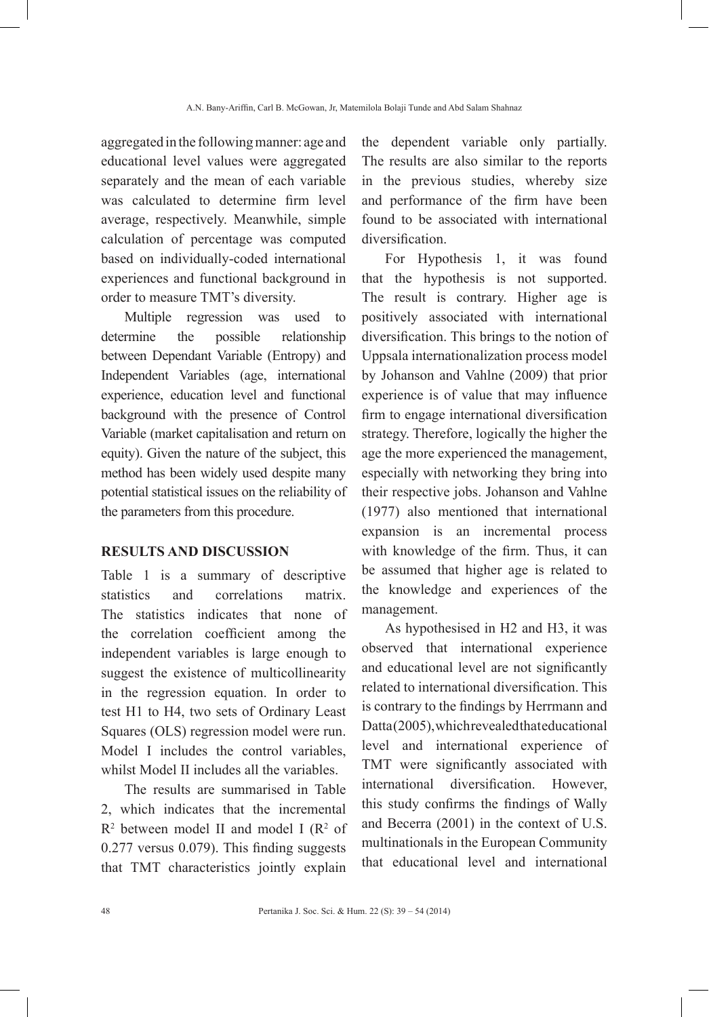aggregated in the following manner: age and educational level values were aggregated separately and the mean of each variable was calculated to determine firm level average, respectively. Meanwhile, simple calculation of percentage was computed based on individually-coded international experiences and functional background in order to measure TMT's diversity.

Multiple regression was used to determine the possible relationship between Dependant Variable (Entropy) and Independent Variables (age, international experience, education level and functional background with the presence of Control Variable (market capitalisation and return on equity). Given the nature of the subject, this method has been widely used despite many potential statistical issues on the reliability of the parameters from this procedure.

# **RESULTS AND DISCUSSION**

Table 1 is a summary of descriptive statistics and correlations matrix. The statistics indicates that none of the correlation coefficient among the independent variables is large enough to suggest the existence of multicollinearity in the regression equation. In order to test H1 to H4, two sets of Ordinary Least Squares (OLS) regression model were run. Model I includes the control variables, whilst Model II includes all the variables.

The results are summarised in Table 2, which indicates that the incremental  $R<sup>2</sup>$  between model II and model I ( $R<sup>2</sup>$  of 0.277 versus 0.079). This finding suggests that TMT characteristics jointly explain

the dependent variable only partially. The results are also similar to the reports in the previous studies, whereby size and performance of the firm have been found to be associated with international diversification.

For Hypothesis 1, it was found that the hypothesis is not supported. The result is contrary. Higher age is positively associated with international diversification. This brings to the notion of Uppsala internationalization process model by Johanson and Vahlne (2009) that prior experience is of value that may influence firm to engage international diversification strategy. Therefore, logically the higher the age the more experienced the management, especially with networking they bring into their respective jobs. Johanson and Vahlne (1977) also mentioned that international expansion is an incremental process with knowledge of the firm. Thus, it can be assumed that higher age is related to the knowledge and experiences of the management.

As hypothesised in H2 and H3, it was observed that international experience and educational level are not significantly related to international diversification. This is contrary to the findings by Herrmann and Datta (2005), which revealed that educational level and international experience of TMT were significantly associated with international diversification. However, this study confirms the findings of Wally and Becerra (2001) in the context of U.S. multinationals in the European Community that educational level and international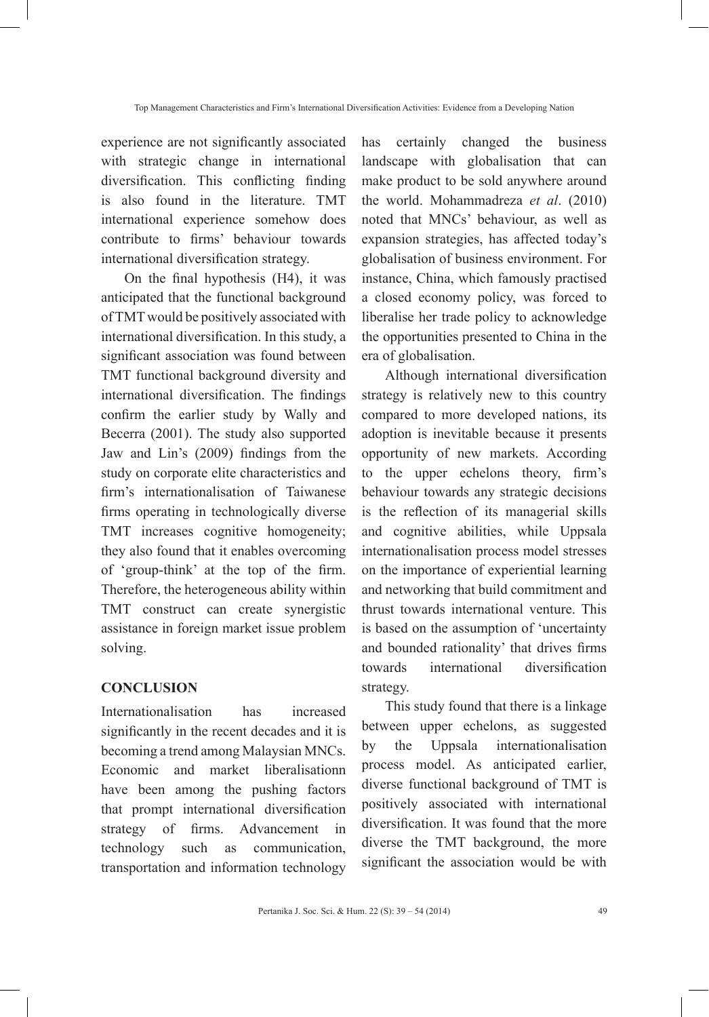experience are not significantly associated with strategic change in international diversification. This conflicting finding is also found in the literature. TMT international experience somehow does contribute to firms' behaviour towards international diversification strategy.

On the final hypothesis (H4), it was anticipated that the functional background of TMT would be positively associated with international diversification. In this study, a significant association was found between TMT functional background diversity and international diversification. The findings confirm the earlier study by Wally and Becerra (2001). The study also supported Jaw and Lin's (2009) findings from the study on corporate elite characteristics and firm's internationalisation of Taiwanese firms operating in technologically diverse TMT increases cognitive homogeneity; they also found that it enables overcoming of 'group-think' at the top of the firm. Therefore, the heterogeneous ability within TMT construct can create synergistic assistance in foreign market issue problem solving.

#### **CONCLUSION**

Internationalisation has increased significantly in the recent decades and it is becoming a trend among Malaysian MNCs. Economic and market liberalisationn have been among the pushing factors that prompt international diversification strategy of firms. Advancement in technology such as communication, transportation and information technology has certainly changed the business landscape with globalisation that can make product to be sold anywhere around the world. Mohammadreza *et al*. (2010) noted that MNCs' behaviour, as well as expansion strategies, has affected today's globalisation of business environment. For instance, China, which famously practised a closed economy policy, was forced to liberalise her trade policy to acknowledge the opportunities presented to China in the era of globalisation.

Although international diversification strategy is relatively new to this country compared to more developed nations, its adoption is inevitable because it presents opportunity of new markets. According to the upper echelons theory, firm's behaviour towards any strategic decisions is the reflection of its managerial skills and cognitive abilities, while Uppsala internationalisation process model stresses on the importance of experiential learning and networking that build commitment and thrust towards international venture. This is based on the assumption of 'uncertainty and bounded rationality' that drives firms towards international diversification strategy.

This study found that there is a linkage between upper echelons, as suggested by the Uppsala internationalisation process model. As anticipated earlier, diverse functional background of TMT is positively associated with international diversification. It was found that the more diverse the TMT background, the more significant the association would be with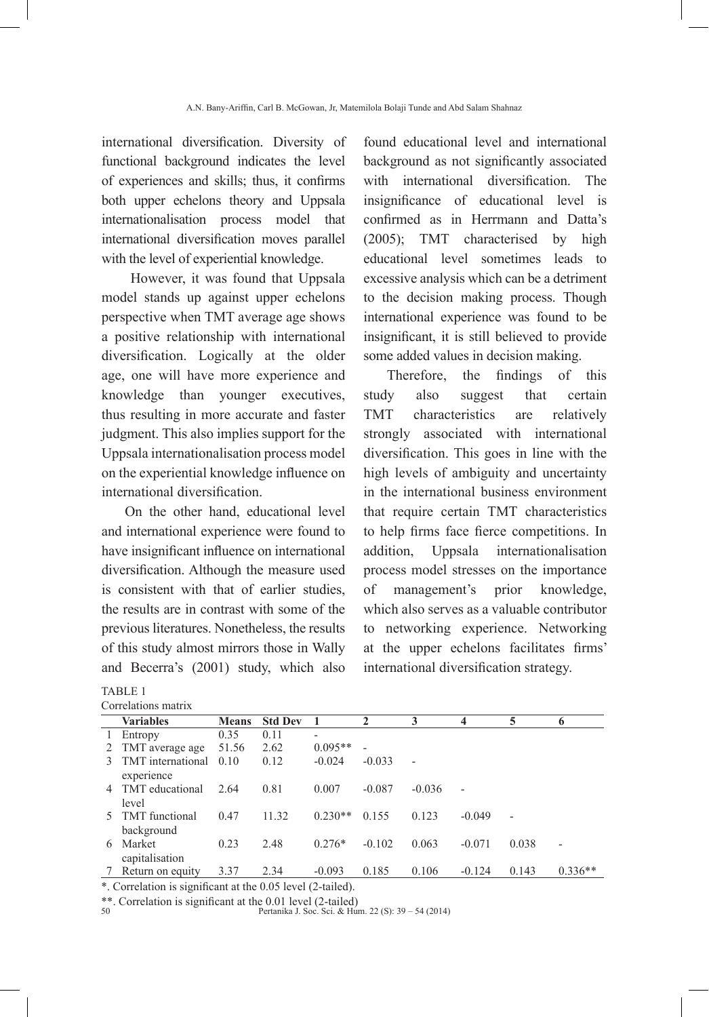international diversification. Diversity of functional background indicates the level of experiences and skills; thus, it confirms both upper echelons theory and Uppsala internationalisation process model that international diversification moves parallel with the level of experiential knowledge.

 However, it was found that Uppsala model stands up against upper echelons perspective when TMT average age shows a positive relationship with international diversification. Logically at the older age, one will have more experience and knowledge than younger executives, thus resulting in more accurate and faster judgment. This also implies support for the Uppsala internationalisation process model on the experiential knowledge influence on international diversification.

On the other hand, educational level and international experience were found to have insignificant influence on international diversification. Although the measure used is consistent with that of earlier studies, the results are in contrast with some of the previous literatures. Nonetheless, the results of this study almost mirrors those in Wally and Becerra's (2001) study, which also

| TABLE 1             |  |
|---------------------|--|
| Correlations matrix |  |

found educational level and international background as not significantly associated with international diversification. The insignificance of educational level is confirmed as in Herrmann and Datta's (2005); TMT characterised by high educational level sometimes leads to excessive analysis which can be a detriment to the decision making process. Though international experience was found to be insignificant, it is still believed to provide some added values in decision making.

Therefore, the findings of this study also suggest that certain TMT characteristics are relatively strongly associated with international diversification. This goes in line with the high levels of ambiguity and uncertainty in the international business environment that require certain TMT characteristics to help firms face fierce competitions. In addition, Uppsala internationalisation process model stresses on the importance of management's prior knowledge, which also serves as a valuable contributor to networking experience. Networking at the upper echelons facilitates firms' international diversification strategy.

| 00110101011011101111 |                               |              |                |           |          |                |                          |       |                          |
|----------------------|-------------------------------|--------------|----------------|-----------|----------|----------------|--------------------------|-------|--------------------------|
|                      | <b>Variables</b>              | <b>Means</b> | <b>Std Dev</b> |           | 2        | 3              | 4                        | 5     | 6                        |
|                      | Entropy                       | 0.35         | 0.11           |           |          |                |                          |       |                          |
|                      | 2 TMT average age             | 51.56        | 2.62           | $0.095**$ |          |                |                          |       |                          |
| 3                    | TMT international             | 0.10         | 0.12           | $-0.024$  | $-0.033$ | $\blacksquare$ |                          |       |                          |
| $\overline{4}$       | experience<br>TMT educational | 2.64         | 0.81           | 0.007     | $-0.087$ | $-0.036$       | $\overline{\phantom{0}}$ |       |                          |
|                      | level                         |              |                |           |          |                |                          |       |                          |
| 5.                   | <b>TMT</b> functional         | 0.47         | 11.32          | $0.230**$ | 0.155    | 0.123          | $-0.049$                 |       |                          |
|                      | background                    |              |                |           |          |                |                          |       |                          |
| 6                    | Market                        | 0.23         | 2.48           | $0.276*$  | $-0.102$ | 0.063          | $-0.071$                 | 0.038 | $\overline{\phantom{a}}$ |
|                      | capitalisation                |              |                |           |          |                |                          |       |                          |
|                      | Return on equity              | 3.37         | 2.34           | $-0.093$  | 0.185    | 0.106          | $-0.124$                 | 0.143 | $0.336**$                |

\*. Correlation is significant at the 0.05 level (2-tailed).

\*\*. Correlation is significant at the 0.01 level (2-tailed)<br>50 Pertanika J. Soc. Sci. & Hum. 22 (S): 39 – 54 (2014)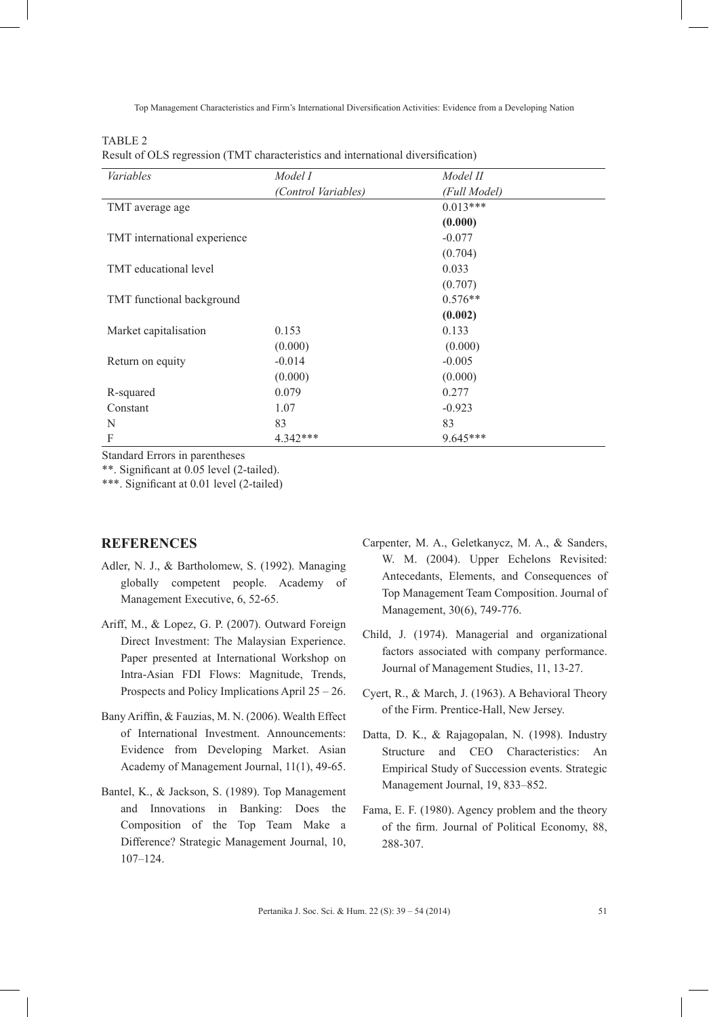Top Management Characteristics and Firm's International Diversification Activities: Evidence from a Developing Nation

TABLE 2

Result of OLS regression (TMT characteristics and international diversification)

| Variables                    | Model I             | Model II     |
|------------------------------|---------------------|--------------|
|                              | (Control Variables) | (Full Model) |
| TMT average age              |                     | $0.013***$   |
|                              |                     | (0.000)      |
| TMT international experience |                     | $-0.077$     |
|                              |                     | (0.704)      |
| TMT educational level        |                     | 0.033        |
|                              |                     | (0.707)      |
| TMT functional background    |                     | $0.576**$    |
|                              |                     | (0.002)      |
| Market capitalisation        | 0.153               | 0.133        |
|                              | (0.000)             | (0.000)      |
| Return on equity             | $-0.014$            | $-0.005$     |
|                              | (0.000)             | (0.000)      |
| R-squared                    | 0.079               | 0.277        |
| Constant                     | 1.07                | $-0.923$     |
| N                            | 83                  | 83           |
| F                            | 4.342***            | $9.645***$   |

Standard Errors in parentheses

\*\*. Significant at 0.05 level (2-tailed).

\*\*\*. Significant at 0.01 level (2-tailed)

### **REFERENCES**

- Adler, N. J., & Bartholomew, S. (1992). Managing globally competent people. Academy of Management Executive, 6, 52-65.
- Ariff, M., & Lopez, G. P. (2007). Outward Foreign Direct Investment: The Malaysian Experience. Paper presented at International Workshop on Intra-Asian FDI Flows: Magnitude, Trends, Prospects and Policy Implications April 25 – 26.
- Bany Ariffin, & Fauzias, M. N. (2006). Wealth Effect of International Investment. Announcements: Evidence from Developing Market. Asian Academy of Management Journal, 11(1), 49-65.
- Bantel, K., & Jackson, S. (1989). Top Management and Innovations in Banking: Does the Composition of the Top Team Make a Difference? Strategic Management Journal, 10, 107–124.
- Carpenter, M. A., Geletkanycz, M. A., & Sanders, W. M. (2004). Upper Echelons Revisited: Antecedants, Elements, and Consequences of Top Management Team Composition. Journal of Management, 30(6), 749-776.
- Child, J. (1974). Managerial and organizational factors associated with company performance. Journal of Management Studies, 11, 13-27.
- Cyert, R., & March, J. (1963). A Behavioral Theory of the Firm. Prentice-Hall, New Jersey.
- Datta, D. K., & Rajagopalan, N. (1998). Industry Structure and CEO Characteristics: An Empirical Study of Succession events. Strategic Management Journal, 19, 833–852.
- Fama, E. F. (1980). Agency problem and the theory of the firm. Journal of Political Economy, 88, 288-307.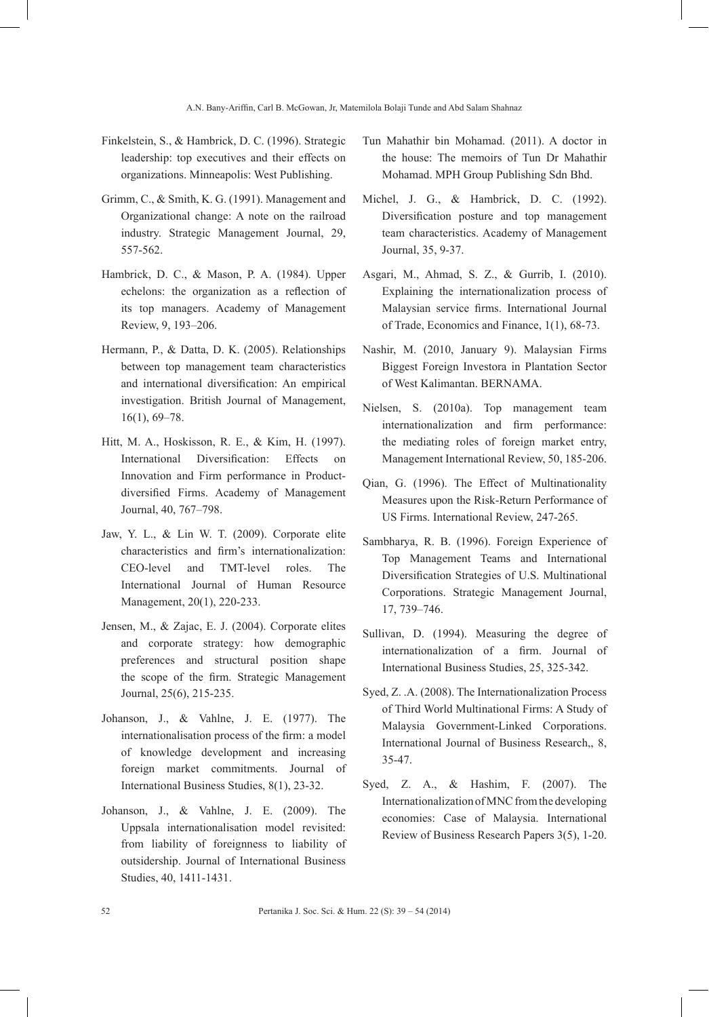- Finkelstein, S., & Hambrick, D. C. (1996). Strategic leadership: top executives and their effects on organizations. Minneapolis: West Publishing.
- Grimm, C., & Smith, K. G. (1991). Management and Organizational change: A note on the railroad industry. Strategic Management Journal, 29, 557-562.
- Hambrick, D. C., & Mason, P. A. (1984). Upper echelons: the organization as a reflection of its top managers. Academy of Management Review, 9, 193–206.
- Hermann, P., & Datta, D. K. (2005). Relationships between top management team characteristics and international diversification: An empirical investigation. British Journal of Management, 16(1), 69–78.
- Hitt, M. A., Hoskisson, R. E., & Kim, H. (1997). International Diversification: Effects on Innovation and Firm performance in Productdiversified Firms. Academy of Management Journal, 40, 767–798.
- Jaw, Y. L., & Lin W. T. (2009). Corporate elite characteristics and firm's internationalization: CEO-level and TMT-level roles. The International Journal of Human Resource Management, 20(1), 220-233.
- Jensen, M., & Zajac, E. J. (2004). Corporate elites and corporate strategy: how demographic preferences and structural position shape the scope of the firm. Strategic Management Journal, 25(6), 215-235.
- Johanson, J., & Vahlne, J. E. (1977). The internationalisation process of the firm: a model of knowledge development and increasing foreign market commitments. Journal of International Business Studies, 8(1), 23-32.
- Johanson, J., & Vahlne, J. E. (2009). The Uppsala internationalisation model revisited: from liability of foreignness to liability of outsidership. Journal of International Business Studies, 40, 1411-1431.
- Tun Mahathir bin Mohamad. (2011). A doctor in the house: The memoirs of Tun Dr Mahathir Mohamad. MPH Group Publishing Sdn Bhd.
- Michel, J. G., & Hambrick, D. C. (1992). Diversification posture and top management team characteristics. Academy of Management Journal, 35, 9-37.
- Asgari, M., Ahmad, S. Z., & Gurrib, I. (2010). Explaining the internationalization process of Malaysian service firms. International Journal of Trade, Economics and Finance, 1(1), 68-73.
- Nashir, M. (2010, January 9). Malaysian Firms Biggest Foreign Investora in Plantation Sector of West Kalimantan. BERNAMA.
- Nielsen, S. (2010a). Top management team internationalization and firm performance: the mediating roles of foreign market entry, Management International Review, 50, 185-206.
- Qian, G. (1996). The Effect of Multinationality Measures upon the Risk-Return Performance of US Firms. International Review, 247-265.
- Sambharya, R. B. (1996). Foreign Experience of Top Management Teams and International Diversification Strategies of U.S. Multinational Corporations. Strategic Management Journal, 17, 739–746.
- Sullivan, D. (1994). Measuring the degree of internationalization of a firm. Journal of International Business Studies, 25, 325-342.
- Syed, Z. .A. (2008). The Internationalization Process of Third World Multinational Firms: A Study of Malaysia Government-Linked Corporations. International Journal of Business Research,, 8, 35-47.
- Syed, Z. A., & Hashim, F. (2007). The Internationalization of MNC from the developing economies: Case of Malaysia. International Review of Business Research Papers 3(5), 1-20.